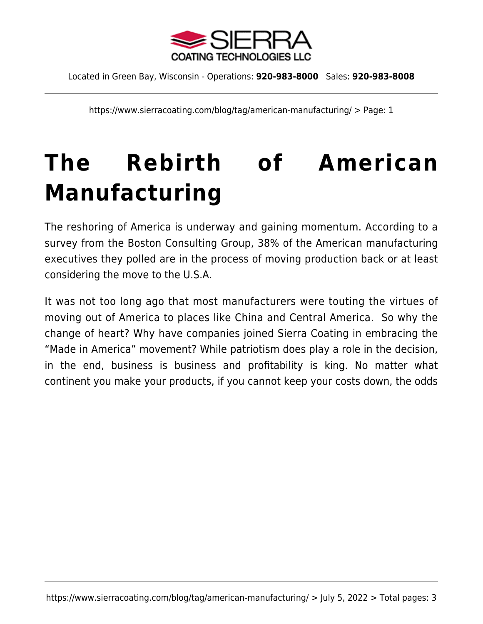

Located in Green Bay, Wisconsin - Operations: **920-983-8000** Sales: **920-983-8008**

https://www.sierracoating.com/blog/tag/american-manufacturing/ > Page: 1

# **[The Rebirth of American](https://www.sierracoating.com/blog/the-rebirth-of-american-manufacturing/) [Manufacturing](https://www.sierracoating.com/blog/the-rebirth-of-american-manufacturing/)**

The reshoring of America is underway and gaining momentum. According to a survey from the [Boston Consulting Group](http://www.bcg.com), 38% of the American manufacturing executives they polled are in the process of [moving production back or at least](http://www.thenewamerican.com/economy/markets/item/16616-thanks-to-america-s-fracking-boom-and-skilled-labor-force-the-re-shoring-of-jobs-is-accelerating) [considering the move to the U.S.A](http://www.thenewamerican.com/economy/markets/item/16616-thanks-to-america-s-fracking-boom-and-skilled-labor-force-the-re-shoring-of-jobs-is-accelerating).

It was not too long ago that most manufacturers were touting the virtues of moving out of America to places like China and Central America. So why the change of heart? Why have companies joined Sierra Coating in embracing the "Made in America" movement? While patriotism does play a role in the decision, in the end, business is business and profitability is king. No matter what continent you make your products, if you cannot keep your costs down, the odds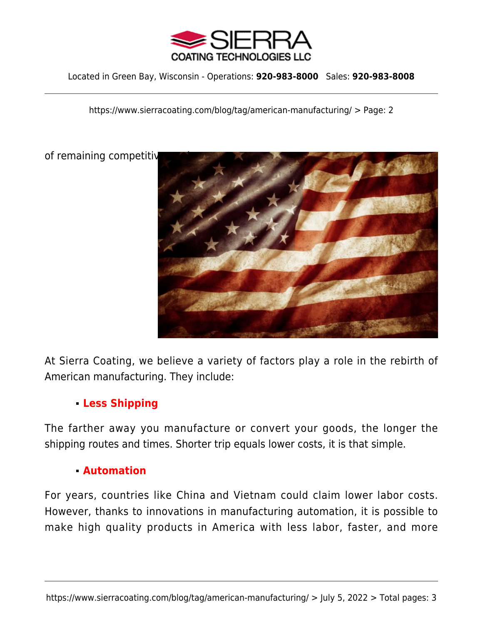

Located in Green Bay, Wisconsin - Operations: **920-983-8000** Sales: **920-983-8008**

https://www.sierracoating.com/blog/tag/american-manufacturing/ > Page: 2

of remaining competitive



At Sierra Coating, we believe a variety of factors play a role in the rebirth of American manufacturing. They include:

# **Less Shipping**

The farther away you manufacture or convert your goods, the longer the shipping routes and times. Shorter trip equals lower costs, it is that simple.

#### **Automation**

For years, countries like China and Vietnam could claim lower labor costs. However, thanks to innovations in manufacturing automation, it is possible to make high quality products in America with less labor, faster, and more